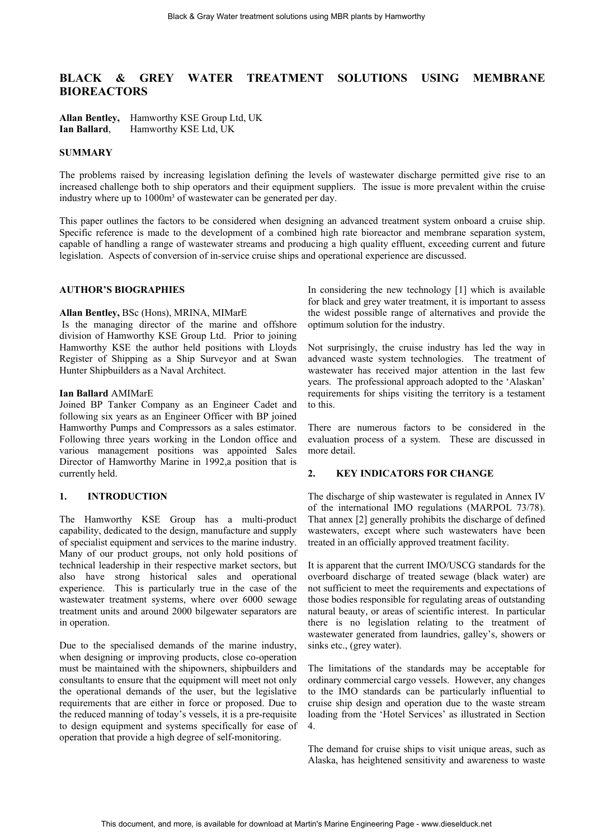# **BLACK & GREY WATER TREATMENT SOLUTIONS USING MEMBRANE BIOREACTORS**

**Allan Bentley,** Hamworthy KSE Group Ltd, UK **Ian Ballard**, Hamworthy KSE Ltd, UK

## **SUMMARY**

The problems raised by increasing legislation defining the levels of wastewater discharge permitted give rise to an increased challenge both to ship operators and their equipment suppliers. The issue is more prevalent within the cruise industry where up to 1000m<sup>3</sup> of wastewater can be generated per day.

This paper outlines the factors to be considered when designing an advanced treatment system onboard a cruise ship. Specific reference is made to the development of a combined high rate bioreactor and membrane separation system, capable of handling a range of wastewater streams and producing a high quality effluent, exceeding current and future legislation. Aspects of conversion of in-service cruise ships and operational experience are discussed.

# **AUTHOR'S BIOGRAPHIES**

#### **Allan Bentley,** BSc (Hons), MRINA, MIMarE

 Is the managing director of the marine and offshore division of Hamworthy KSE Group Ltd. Prior to joining Hamworthy KSE the author held positions with Lloyds Register of Shipping as a Ship Surveyor and at Swan Hunter Shipbuilders as a Naval Architect.

#### **Ian Ballard** AMIMarE

Joined BP Tanker Company as an Engineer Cadet and following six years as an Engineer Officer with BP joined Hamworthy Pumps and Compressors as a sales estimator. Following three years working in the London office and various management positions was appointed Sales Director of Hamworthy Marine in 1992,a position that is currently held.

# **1. INTRODUCTION**

The Hamworthy KSE Group has a multi-product capability, dedicated to the design, manufacture and supply of specialist equipment and services to the marine industry. Many of our product groups, not only hold positions of technical leadership in their respective market sectors, but also have strong historical sales and operational experience. This is particularly true in the case of the wastewater treatment systems, where over 6000 sewage treatment units and around 2000 bilgewater separators are in operation.

Due to the specialised demands of the marine industry, when designing or improving products, close co-operation must be maintained with the shipowners, shipbuilders and consultants to ensure that the equipment will meet not only the operational demands of the user, but the legislative requirements that are either in force or proposed. Due to the reduced manning of today's vessels, it is a pre-requisite to design equipment and systems specifically for ease of operation that provide a high degree of self-monitoring.

In considering the new technology [1] which is available for black and grey water treatment, it is important to assess the widest possible range of alternatives and provide the optimum solution for the industry.

Not surprisingly, the cruise industry has led the way in advanced waste system technologies. The treatment of wastewater has received major attention in the last few years. The professional approach adopted to the 'Alaskan' requirements for ships visiting the territory is a testament to this.

There are numerous factors to be considered in the evaluation process of a system. These are discussed in more detail.

## **2. KEY INDICATORS FOR CHANGE**

The discharge of ship wastewater is regulated in Annex IV of the international IMO regulations (MARPOL 73/78). That annex [2] generally prohibits the discharge of defined wastewaters, except where such wastewaters have been treated in an officially approved treatment facility.

It is apparent that the current IMO/USCG standards for the overboard discharge of treated sewage (black water) are not sufficient to meet the requirements and expectations of those bodies responsible for regulating areas of outstanding natural beauty, or areas of scientific interest. In particular there is no legislation relating to the treatment of wastewater generated from laundries, galley's, showers or sinks etc., (grey water).

The limitations of the standards may be acceptable for ordinary commercial cargo vessels. However, any changes to the IMO standards can be particularly influential to cruise ship design and operation due to the waste stream loading from the 'Hotel Services' as illustrated in Section 4.

The demand for cruise ships to visit unique areas, such as Alaska, has heightened sensitivity and awareness to waste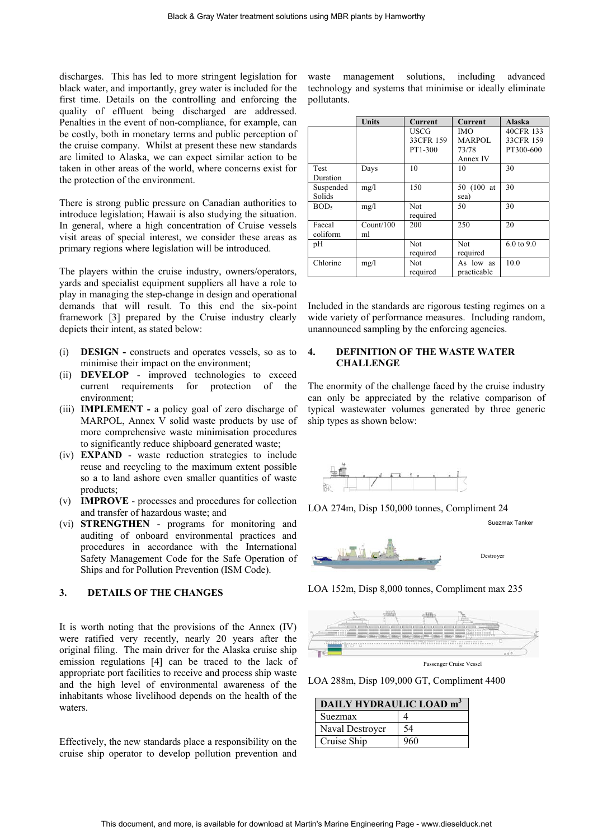discharges. This has led to more stringent legislation for black water, and importantly, grey water is included for the first time. Details on the controlling and enforcing the quality of effluent being discharged are addressed. Penalties in the event of non-compliance, for example, can be costly, both in monetary terms and public perception of the cruise company. Whilst at present these new standards are limited to Alaska, we can expect similar action to be taken in other areas of the world, where concerns exist for the protection of the environment.

There is strong public pressure on Canadian authorities to introduce legislation; Hawaii is also studying the situation. In general, where a high concentration of Cruise vessels visit areas of special interest, we consider these areas as primary regions where legislation will be introduced.

The players within the cruise industry, owners/operators, yards and specialist equipment suppliers all have a role to play in managing the step-change in design and operational demands that will result. To this end the six-point framework [3] prepared by the Cruise industry clearly depicts their intent, as stated below:

- (i) **DESIGN** constructs and operates vessels, so as to minimise their impact on the environment;
- (ii) **DEVELOP** improved technologies to exceed current requirements for protection of the environment;
- (iii) **IMPLEMENT** a policy goal of zero discharge of MARPOL, Annex V solid waste products by use of more comprehensive waste minimisation procedures to significantly reduce shipboard generated waste;
- (iv) **EXPAND** waste reduction strategies to include reuse and recycling to the maximum extent possible so a to land ashore even smaller quantities of waste products;
- (v) **IMPROVE** processes and procedures for collection and transfer of hazardous waste; and
- (vi) **STRENGTHEN** programs for monitoring and auditing of onboard environmental practices and procedures in accordance with the International Safety Management Code for the Safe Operation of Ships and for Pollution Prevention (ISM Code).

## **3. DETAILS OF THE CHANGES**

It is worth noting that the provisions of the Annex (IV) were ratified very recently, nearly 20 years after the original filing. The main driver for the Alaska cruise ship emission regulations [4] can be traced to the lack of appropriate port facilities to receive and process ship waste and the high level of environmental awareness of the inhabitants whose livelihood depends on the health of the waters.

Effectively, the new standards place a responsibility on the cruise ship operator to develop pollution prevention and waste management solutions, including advanced technology and systems that minimise or ideally eliminate pollutants.

|                  | <b>Units</b> | <b>Current</b> | <b>Current</b> | Alaska                |
|------------------|--------------|----------------|----------------|-----------------------|
|                  |              | <b>USCG</b>    | <b>IMO</b>     | 40CFR 133             |
|                  |              | 33CFR 159      | <b>MARPOL</b>  | 33CFR 159             |
|                  |              | PT1-300        | 73/78          | PT300-600             |
|                  |              |                | Annex IV       |                       |
| Test             | Days         | 10             | 10             | 30                    |
| Duration         |              |                |                |                       |
| Suspended        | mg/l         | 150            | 50 (100 at     | 30                    |
| Solids           |              |                | sea)           |                       |
| BOD <sub>5</sub> | mg/l         | <b>Not</b>     | 50             | 30                    |
|                  |              | required       |                |                       |
| Faecal           | Count/100    | 200            | 250            | 20                    |
| coliform         | ml           |                |                |                       |
| pH               |              | Not            | <b>Not</b>     | $6.0 \text{ to } 9.0$ |
|                  |              | required       | required       |                       |
| Chlorine         | mg/l         | Not.           | As low as      | 10.0                  |
|                  |              | required       | practicable    |                       |

Included in the standards are rigorous testing regimes on a wide variety of performance measures. Including random, unannounced sampling by the enforcing agencies.

## **4. DEFINITION OF THE WASTE WATER CHALLENGE**

The enormity of the challenge faced by the cruise industry can only be appreciated by the relative comparison of typical wastewater volumes generated by three generic ship types as shown below:



LOA 274m, Disp 150,000 tonnes, Compliment 24

Suezmax Tanker



LOA 152m, Disp 8,000 tonnes, Compliment max 235



LOA 288m, Disp 109,000 GT, Compliment 4400

| DAILY HYDRAULIC LOAD m <sup>3</sup> |     |  |
|-------------------------------------|-----|--|
| Suezmax                             |     |  |
| Naval Destroyer                     | 54  |  |
| Cruise Ship                         | 960 |  |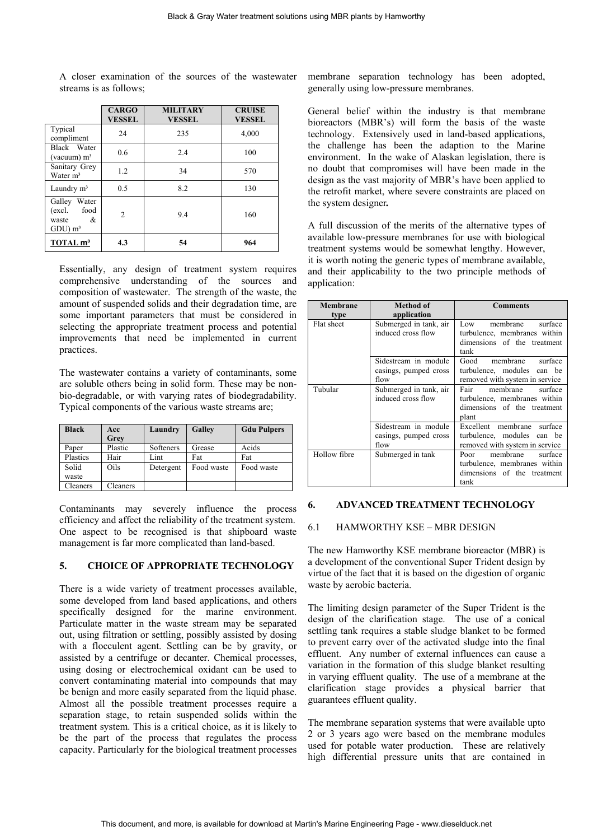A closer examination of the sources of the wastewater streams is as follows;

|                                                               | <b>CARGO</b><br><b>VESSEL</b> | <b>MILITARY</b><br><b>VESSEL</b> | <b>CRUISE</b><br><b>VESSEL</b> |
|---------------------------------------------------------------|-------------------------------|----------------------------------|--------------------------------|
| Typical<br>compliment                                         | 24                            | 235                              | 4,000                          |
| Black Water<br>(vacuum) $m3$                                  | 0.6                           | 2.4                              | 100                            |
| Sanitary Grey<br>Water m <sup>3</sup>                         | 1.2                           | 34                               | 570                            |
| Laundry m <sup>3</sup>                                        | 0.5                           | 8.2                              | 130                            |
| Galley Water<br>(excl.)<br>food<br>&<br>waste<br>$GDU$ ) $m3$ | $\overline{2}$                | 9.4                              | 160                            |
| TOTAL m <sup>3</sup>                                          | 4.3                           | 54                               | 964                            |

Essentially, any design of treatment system requires comprehensive understanding of the sources and composition of wastewater. The strength of the waste, the amount of suspended solids and their degradation time, are some important parameters that must be considered in selecting the appropriate treatment process and potential improvements that need be implemented in current practices.

The wastewater contains a variety of contaminants, some are soluble others being in solid form. These may be nonbio-degradable, or with varying rates of biodegradability. Typical components of the various waste streams are;

| <b>Black</b> | Acc      | Laundry   | Galley     | <b>Gdu Pulpers</b> |
|--------------|----------|-----------|------------|--------------------|
|              | Grey     |           |            |                    |
| Paper        | Plastic  | Softeners | Grease     | Acids              |
| Plastics     | Hair     | Lint      | Fat        | Fat                |
| Solid        | Oils     | Detergent | Food waste | Food waste         |
| waste        |          |           |            |                    |
| Cleaners     | Cleaners |           |            |                    |

Contaminants may severely influence the process efficiency and affect the reliability of the treatment system. One aspect to be recognised is that shipboard waste management is far more complicated than land-based.

## **5. CHOICE OF APPROPRIATE TECHNOLOGY**

There is a wide variety of treatment processes available, some developed from land based applications, and others specifically designed for the marine environment. Particulate matter in the waste stream may be separated out, using filtration or settling, possibly assisted by dosing with a flocculent agent. Settling can be by gravity, or assisted by a centrifuge or decanter. Chemical processes, using dosing or electrochemical oxidant can be used to convert contaminating material into compounds that may be benign and more easily separated from the liquid phase. Almost all the possible treatment processes require a separation stage, to retain suspended solids within the treatment system. This is a critical choice, as it is likely to be the part of the process that regulates the process capacity. Particularly for the biological treatment processes membrane separation technology has been adopted, generally using low-pressure membranes.

General belief within the industry is that membrane bioreactors (MBR's) will form the basis of the waste technology. Extensively used in land-based applications, the challenge has been the adaption to the Marine environment. In the wake of Alaskan legislation, there is no doubt that compromises will have been made in the design as the vast majority of MBR's have been applied to the retrofit market, where severe constraints are placed on the system designer*.* 

A full discussion of the merits of the alternative types of available low-pressure membranes for use with biological treatment systems would be somewhat lengthy. However, it is worth noting the generic types of membrane available, and their applicability to the two principle methods of application:

| Membrane<br>type | Method of<br>application                              | <b>Comments</b>                                                                                     |
|------------------|-------------------------------------------------------|-----------------------------------------------------------------------------------------------------|
| Flat sheet       | Submerged in tank, air<br>induced cross flow          | membrane<br>Low<br>surface<br>turbulence, membranes within<br>dimensions of the treatment<br>tank   |
|                  | Sidestream in module<br>casings, pumped cross<br>flow | membrane<br>surface<br>Good<br>turbulence, modules can be<br>removed with system in service         |
| Tubular          | Submerged in tank, air<br>induced cross flow          | membrane<br>Fair<br>surface<br>turbulence, membranes within<br>dimensions of the treatment<br>plant |
|                  | Sidestream in module<br>casings, pumped cross<br>flow | Excellent membrane surface<br>turbulence, modules can be<br>removed with system in service          |
| Hollow fibre     | Submerged in tank                                     | membrane<br>Poor<br>surface<br>turbulence, membranes within<br>dimensions of the treatment<br>tank  |

# **6. ADVANCED TREATMENT TECHNOLOGY**

# 6.1 HAMWORTHY KSE – MBR DESIGN

The new Hamworthy KSE membrane bioreactor (MBR) is a development of the conventional Super Trident design by virtue of the fact that it is based on the digestion of organic waste by aerobic bacteria.

The limiting design parameter of the Super Trident is the design of the clarification stage. The use of a conical settling tank requires a stable sludge blanket to be formed to prevent carry over of the activated sludge into the final effluent. Any number of external influences can cause a variation in the formation of this sludge blanket resulting in varying effluent quality. The use of a membrane at the clarification stage provides a physical barrier that guarantees effluent quality.

The membrane separation systems that were available upto 2 or 3 years ago were based on the membrane modules used for potable water production. These are relatively high differential pressure units that are contained in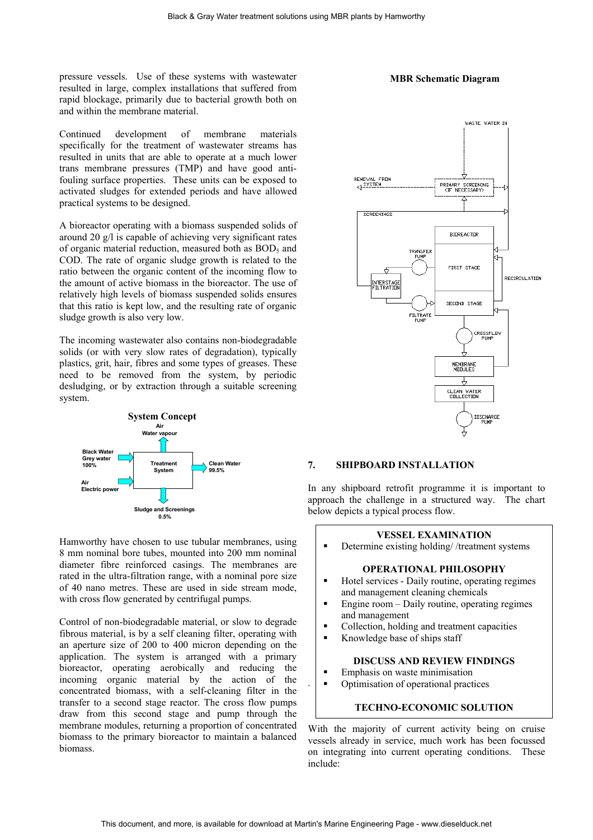pressure vessels. Use of these systems with wastewater **MBR Schematic Diagram** resulted in large, complex installations that suffered from rapid blockage, primarily due to bacterial growth both on and within the membrane material.

Continued development of membrane materials specifically for the treatment of wastewater streams has resulted in units that are able to operate at a much lower trans membrane pressures (TMP) and have good antifouling surface properties. These units can be exposed to activated sludges for extended periods and have allowed practical systems to be designed.

A bioreactor operating with a biomass suspended solids of around 20 g/l is capable of achieving very significant rates of organic material reduction, measured both as  $BOD<sub>5</sub>$  and COD. The rate of organic sludge growth is related to the ratio between the organic content of the incoming flow to the amount of active biomass in the bioreactor. The use of relatively high levels of biomass suspended solids ensures that this ratio is kept low, and the resulting rate of organic sludge growth is also very low.

The incoming wastewater also contains non-biodegradable solids (or with very slow rates of degradation), typically plastics, grit, hair, fibres and some types of greases. These need to be removed from the system, by periodic desludging, or by extraction through a suitable screening system.



Hamworthy have chosen to use tubular membranes, using 8 mm nominal bore tubes, mounted into 200 mm nominal diameter fibre reinforced casings. The membranes are rated in the ultra-filtration range, with a nominal pore size of 40 nano metres. These are used in side stream mode, with cross flow generated by centrifugal pumps.

Control of non-biodegradable material, or slow to degrade fibrous material, is by a self cleaning filter, operating with an aperture size of 200 to 400 micron depending on the application. The system is arranged with a primary bioreactor, operating aerobically and reducing the incoming organic material by the action of the concentrated biomass, with a self-cleaning filter in the transfer to a second stage reactor. The cross flow pumps draw from this second stage and pump through the membrane modules, returning a proportion of concentrated biomass to the primary bioreactor to maintain a balanced biomass.



#### **7. SHIPBOARD INSTALLATION**

In any shipboard retrofit programme it is important to approach the challenge in a structured way. The chart below depicts a typical process flow.

#### **VESSEL EXAMINATION**

Determine existing holding/ /treatment systems

#### **OPERATIONAL PHILOSOPHY**

- Hotel services Daily routine, operating regimes and management cleaning chemicals
- Engine room Daily routine, operating regimes and management
- Collection, holding and treatment capacities
- Knowledge base of ships staff

## **DISCUSS AND REVIEW FINDINGS**

- Emphasis on waste minimisation
- Optimisation of operational practices

#### **TECHNO-ECONOMIC SOLUTION**

With the majority of current activity being on cruise vessels already in service, much work has been focussed on integrating into current operating conditions. These include:

.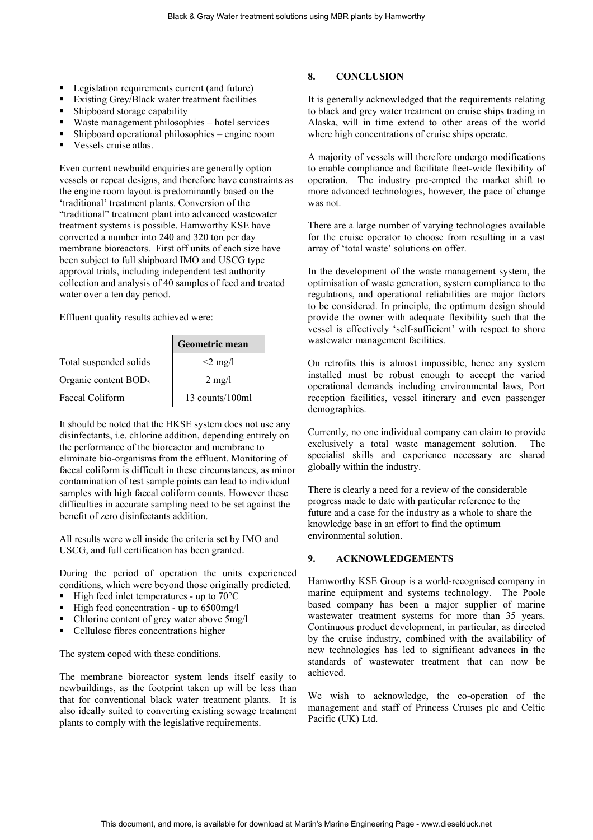- Legislation requirements current (and future)
- **Existing Grey/Black water treatment facilities**
- Shipboard storage capability
- Waste management philosophies hotel services
- Shipboard operational philosophies engine room
- Vessels cruise atlas.

Even current newbuild enquiries are generally option vessels or repeat designs, and therefore have constraints as the engine room layout is predominantly based on the 'traditional' treatment plants. Conversion of the "traditional" treatment plant into advanced wastewater treatment systems is possible. Hamworthy KSE have converted a number into 240 and 320 ton per day membrane bioreactors. First off units of each size have been subject to full shipboard IMO and USCG type approval trials, including independent test authority collection and analysis of 40 samples of feed and treated water over a ten day period.

Effluent quality results achieved were:

|                        | Geometric mean   |
|------------------------|------------------|
| Total suspended solids | $<$ 2 mg/l       |
| Organic content $BOD5$ | $2 \text{ mg}/1$ |
| Faecal Coliform        | 13 counts/100ml  |

It should be noted that the HKSE system does not use any disinfectants, i.e. chlorine addition, depending entirely on the performance of the bioreactor and membrane to eliminate bio-organisms from the effluent. Monitoring of faecal coliform is difficult in these circumstances, as minor contamination of test sample points can lead to individual samples with high faecal coliform counts. However these difficulties in accurate sampling need to be set against the benefit of zero disinfectants addition.

All results were well inside the criteria set by IMO and USCG, and full certification has been granted.

During the period of operation the units experienced conditions, which were beyond those originally predicted.

- High feed inlet temperatures up to 70°C
- High feed concentration up to 6500mg/l
- Chlorine content of grey water above 5mg/l
- Cellulose fibres concentrations higher

The system coped with these conditions.

The membrane bioreactor system lends itself easily to newbuildings, as the footprint taken up will be less than that for conventional black water treatment plants. It is also ideally suited to converting existing sewage treatment plants to comply with the legislative requirements.

# **8. CONCLUSION**

It is generally acknowledged that the requirements relating to black and grey water treatment on cruise ships trading in Alaska, will in time extend to other areas of the world where high concentrations of cruise ships operate.

A majority of vessels will therefore undergo modifications to enable compliance and facilitate fleet-wide flexibility of operation. The industry pre-empted the market shift to more advanced technologies, however, the pace of change was not.

There are a large number of varying technologies available for the cruise operator to choose from resulting in a vast array of 'total waste' solutions on offer.

In the development of the waste management system, the optimisation of waste generation, system compliance to the regulations, and operational reliabilities are major factors to be considered. In principle, the optimum design should provide the owner with adequate flexibility such that the vessel is effectively 'self-sufficient' with respect to shore wastewater management facilities.

On retrofits this is almost impossible, hence any system installed must be robust enough to accept the varied operational demands including environmental laws, Port reception facilities, vessel itinerary and even passenger demographics.

Currently, no one individual company can claim to provide exclusively a total waste management solution. The specialist skills and experience necessary are shared globally within the industry.

There is clearly a need for a review of the considerable progress made to date with particular reference to the future and a case for the industry as a whole to share the knowledge base in an effort to find the optimum environmental solution.

# **9. ACKNOWLEDGEMENTS**

Hamworthy KSE Group is a world-recognised company in marine equipment and systems technology. The Poole based company has been a major supplier of marine wastewater treatment systems for more than 35 years. Continuous product development, in particular, as directed by the cruise industry, combined with the availability of new technologies has led to significant advances in the standards of wastewater treatment that can now be achieved.

We wish to acknowledge, the co-operation of the management and staff of Princess Cruises plc and Celtic Pacific (UK) Ltd.